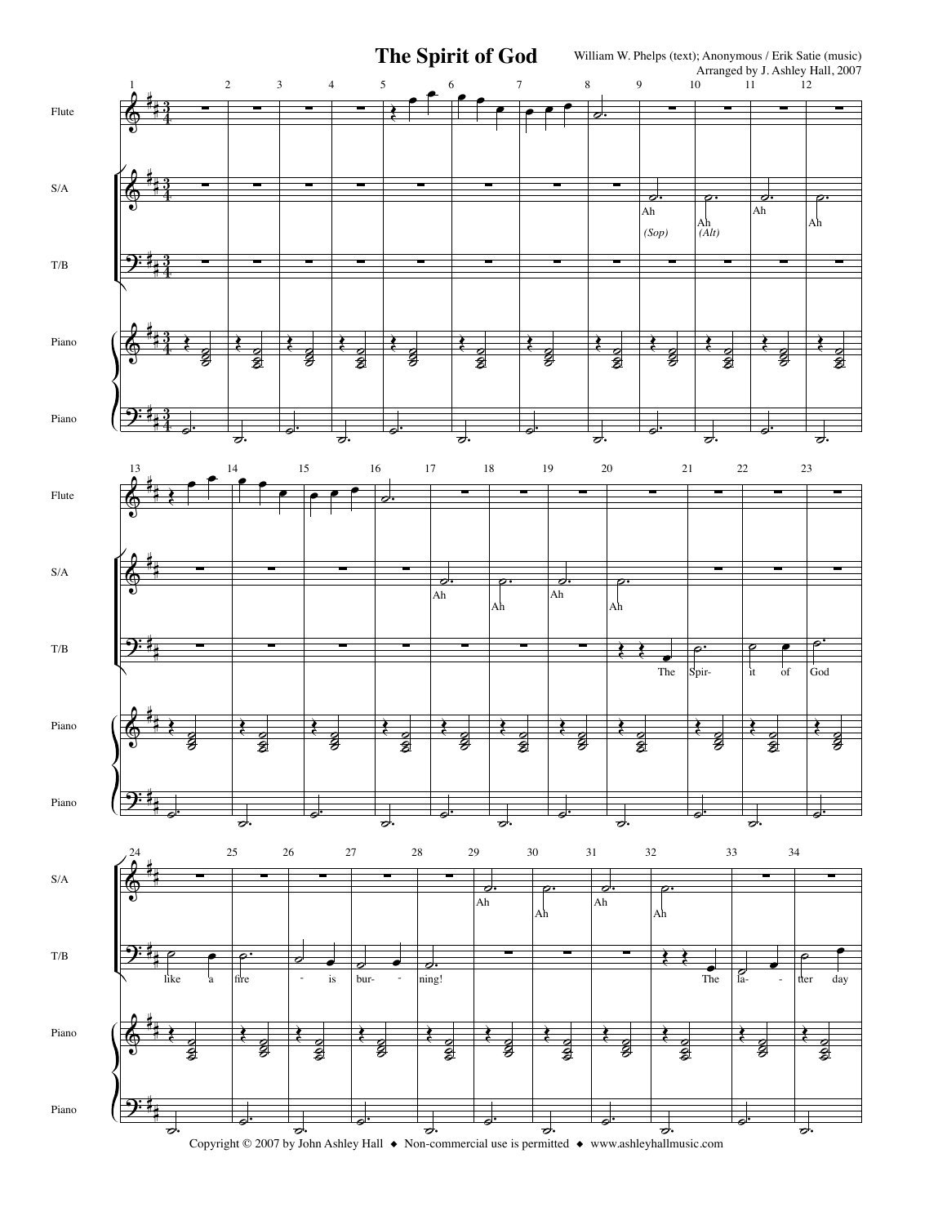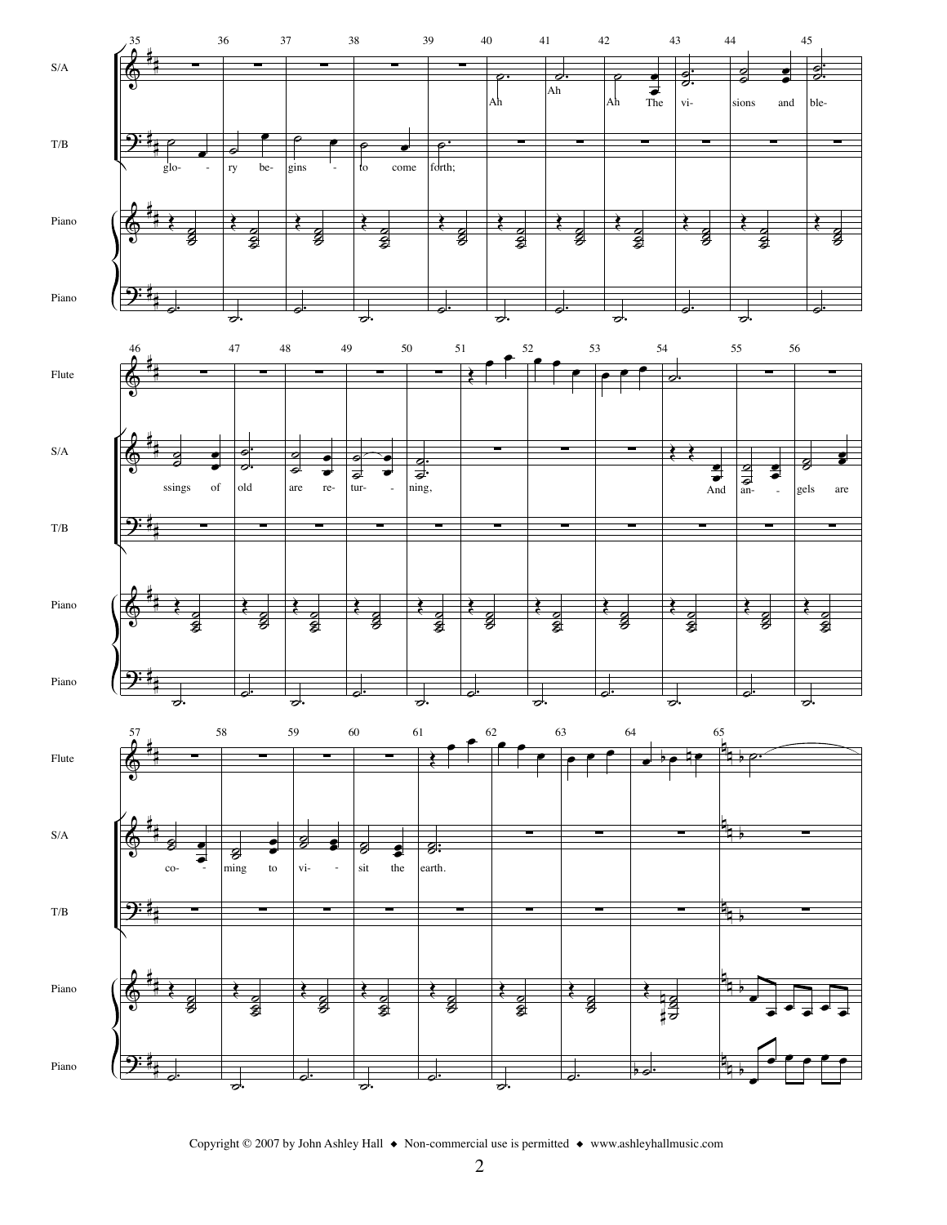

Copyright © 2007 by John Ashley Hall  $\;\blacklozenge\;$  Non-commercial use is permitted  $\;\blacklozenge\;$  www.ashleyhallmusic.com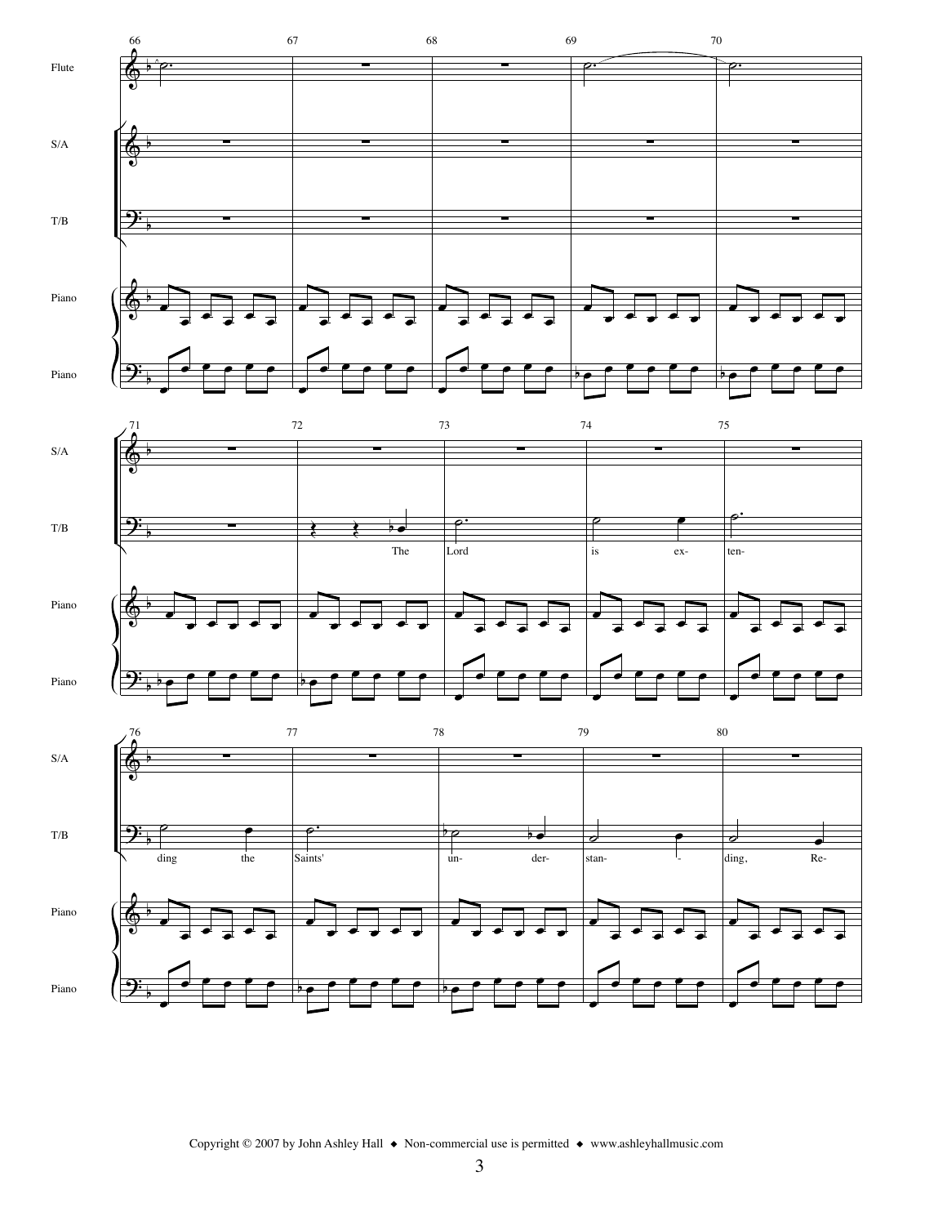

## Copyright © 2007 by John Ashley Hall  $\;\blacklozenge\;$  Non-commercial use is permitted  $\;\blacklozenge\;$  www.ashleyhallmusic.com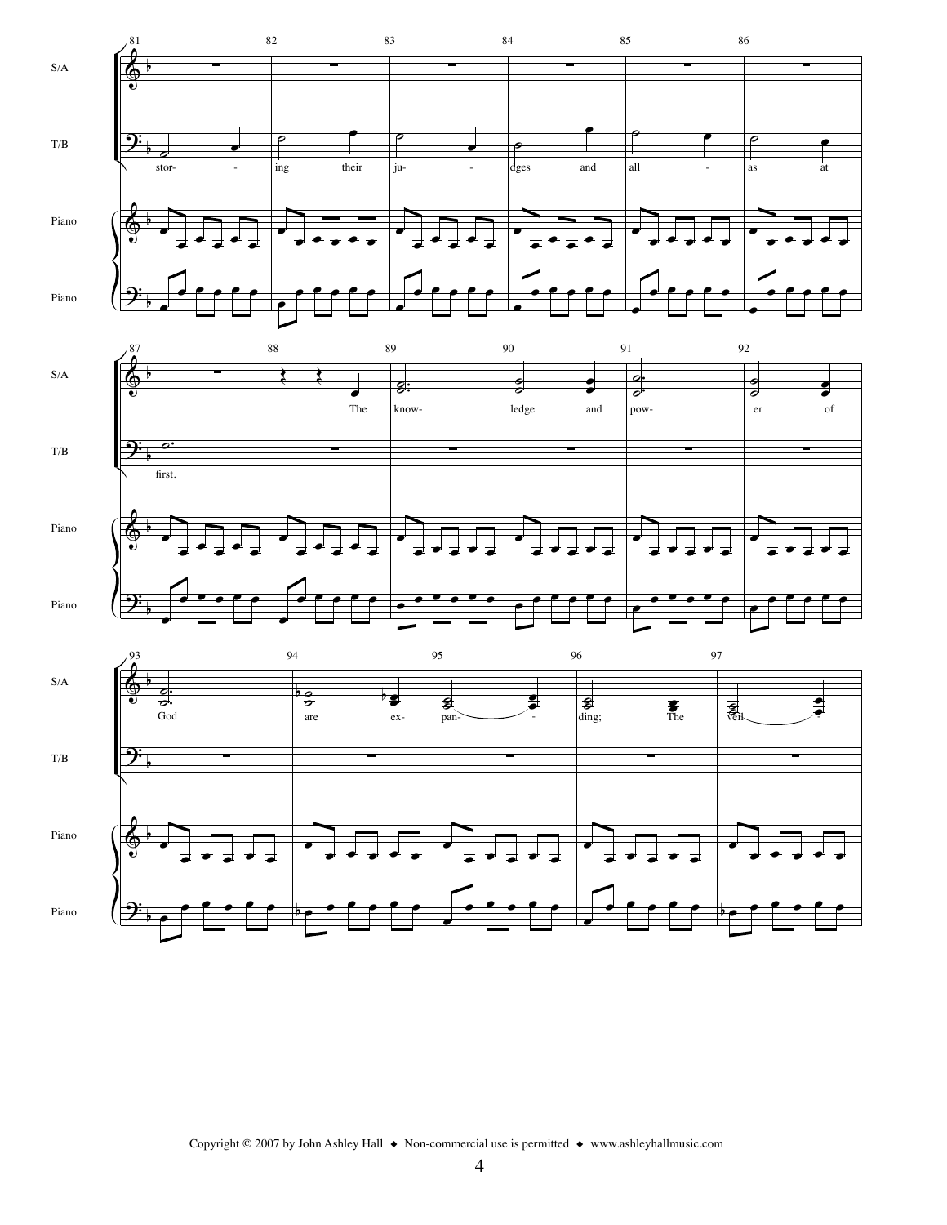





Copyright © 2007 by John Ashley Hall  $\;\blacklozenge\;$  Non-commercial use is permitted  $\;\blacklozenge\;$  www.ashleyhallmusic.com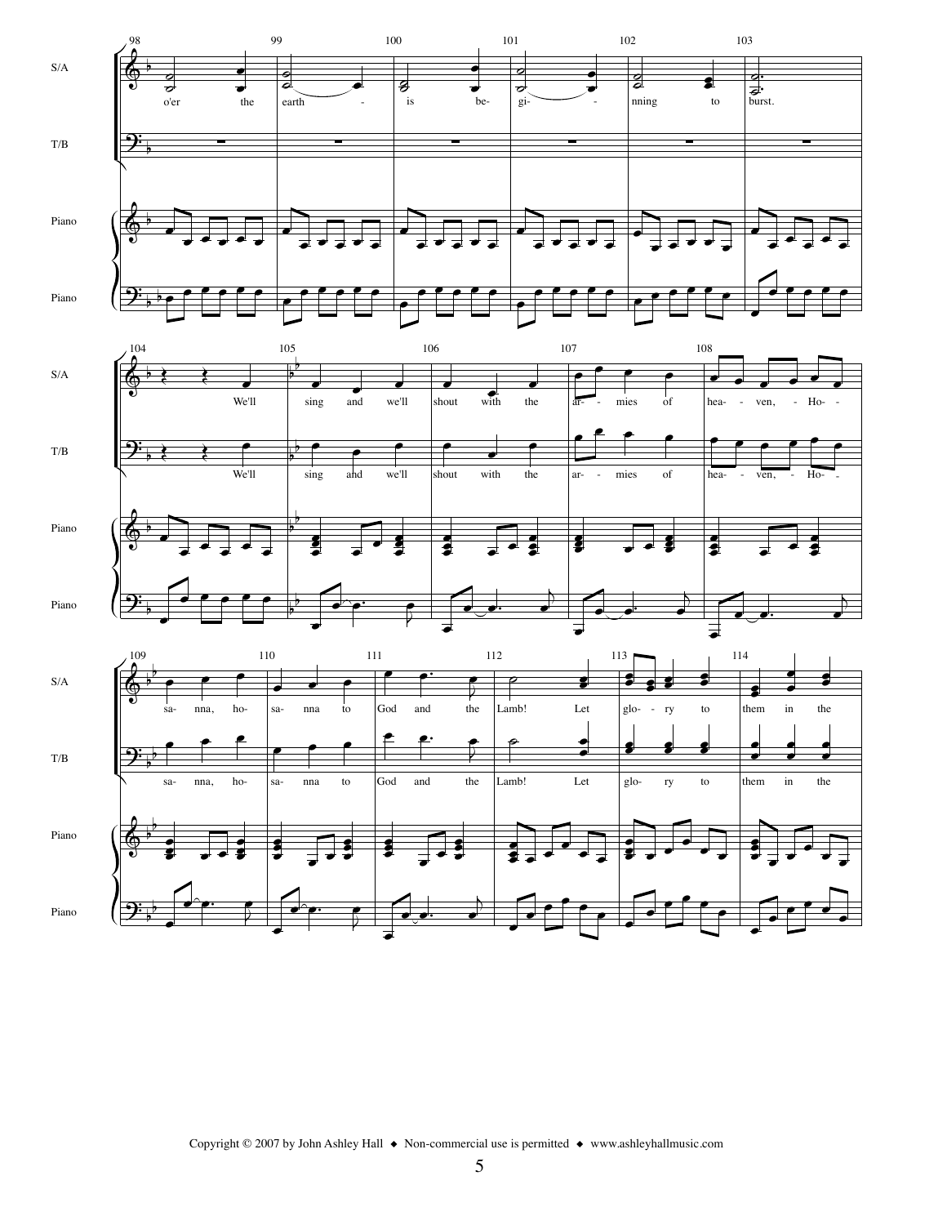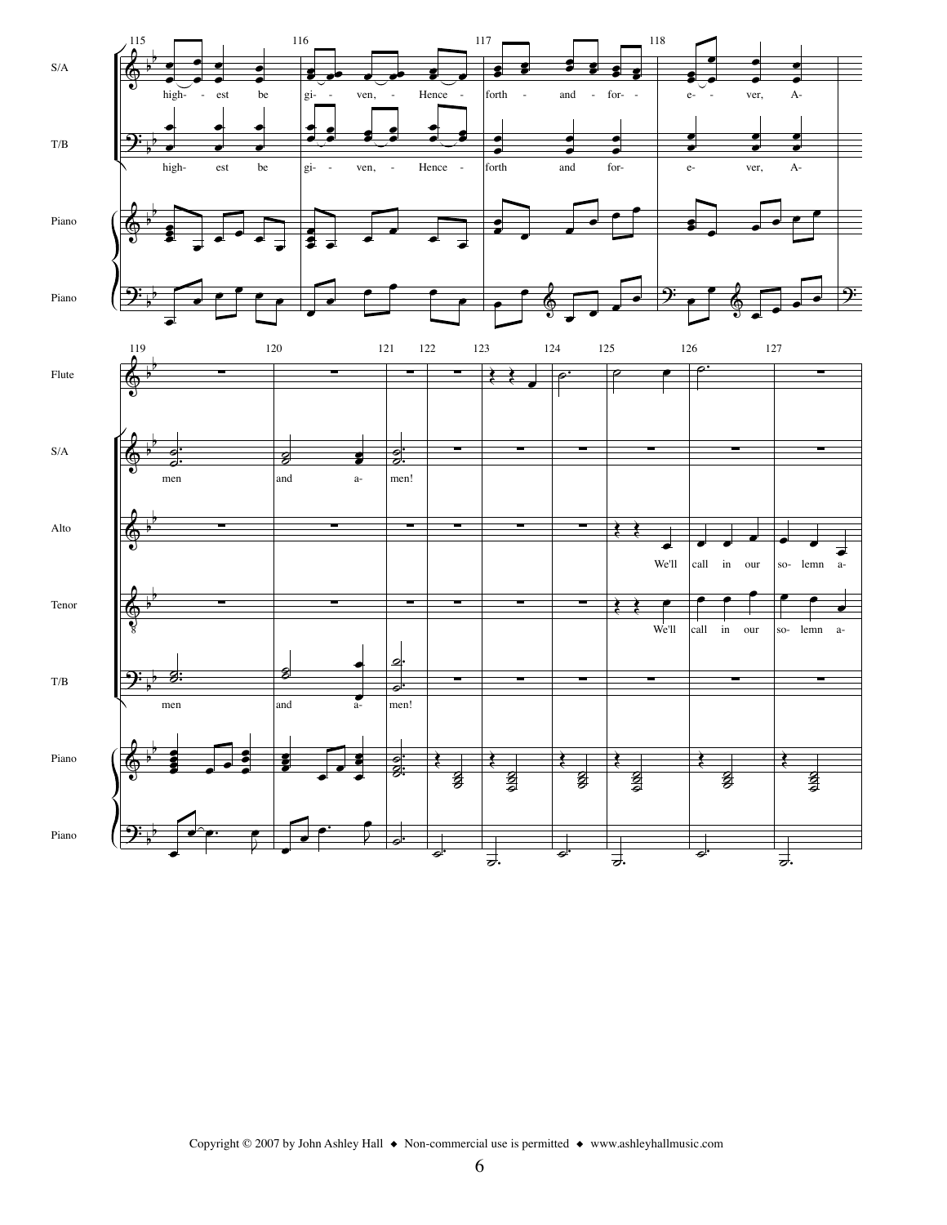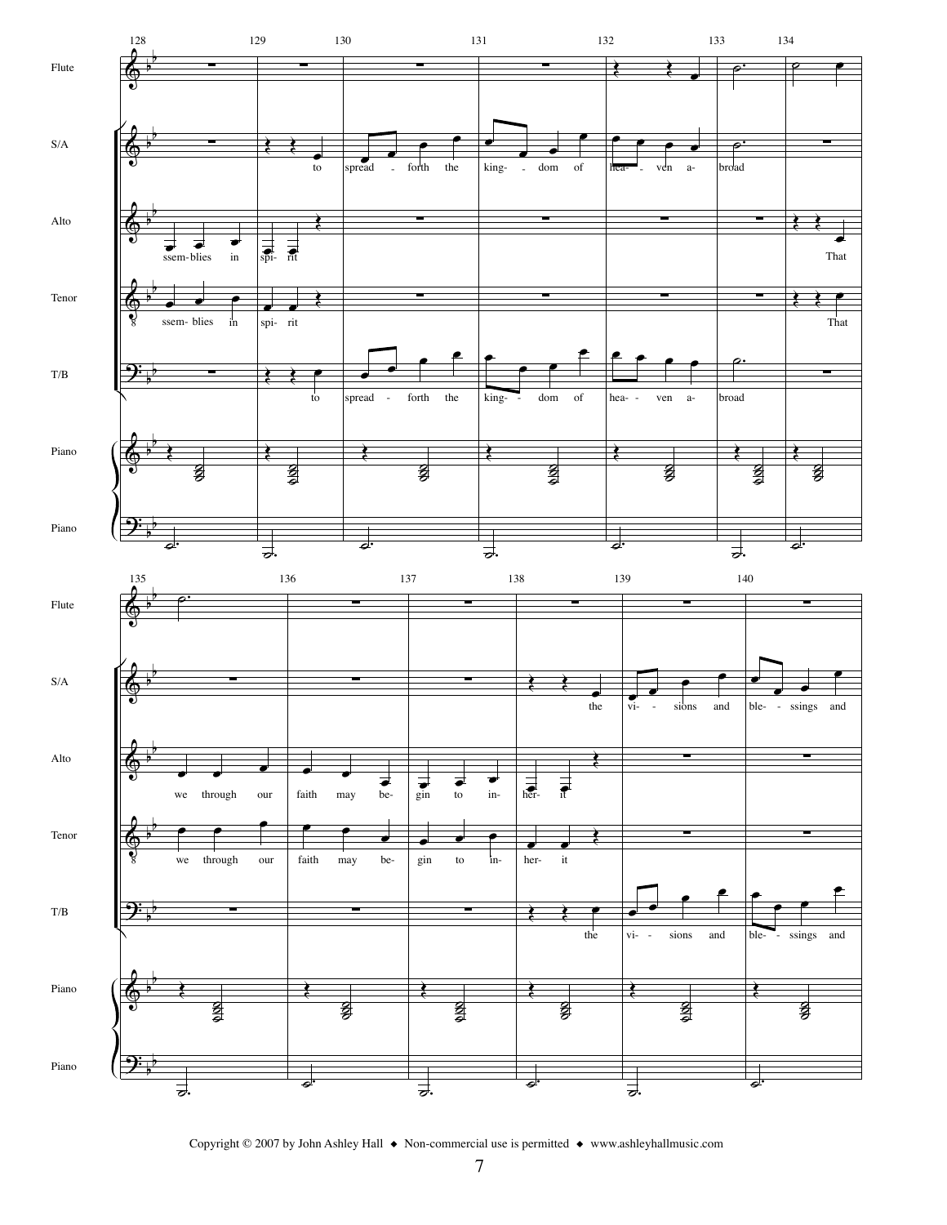

Copyright  $@$  2007 by John Ashley Hall  $\blacklozenge$  Non-commercial use is permitted  $\blacklozenge$  www.ashleyhallmusic.com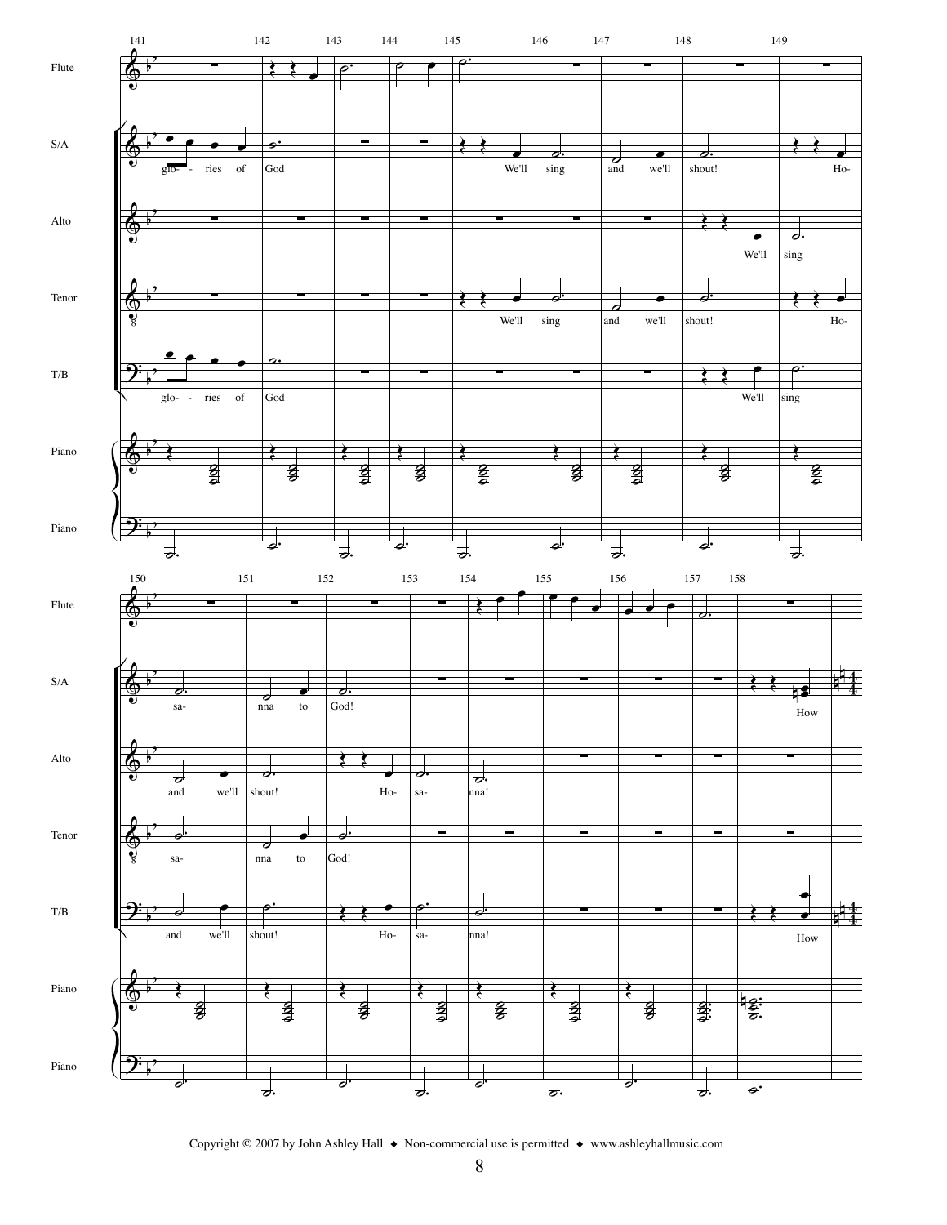

Copyright  $@$  2007 by John Ashley Hall  $\blacklozenge$  Non-commercial use is permitted  $\blacklozenge$  www.ashleyhallmusic.com